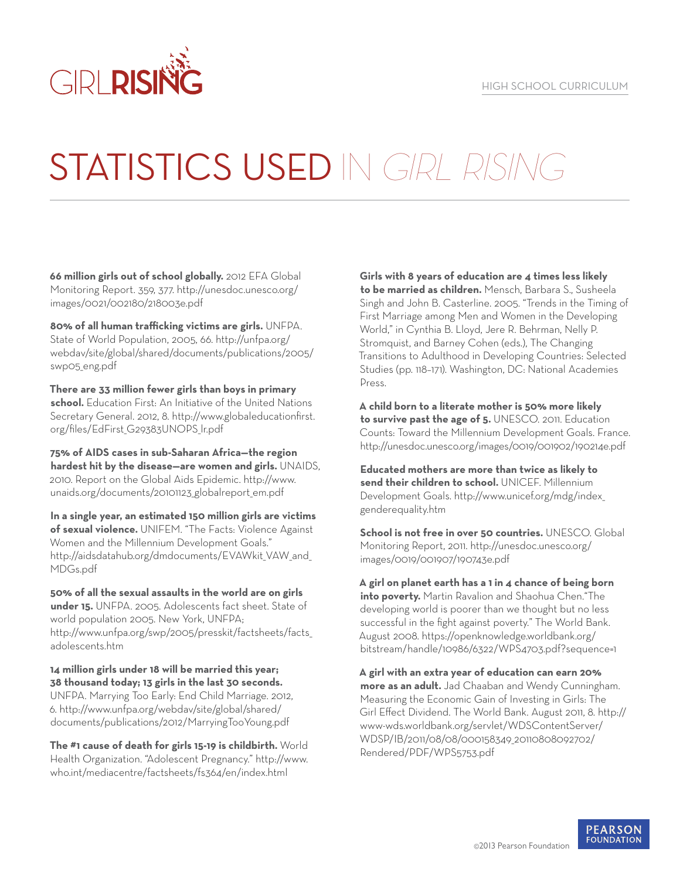

## STATISTICS USED IN GIRL RISING

**66 million girls out of school globally.** 2012 EFA Global Monitoring Report. 359, 377. http://unesdoc.unesco.org/ images/0021/002180/218003e.pdf

**80% of all human trafficking victims are girls.** UNFPA. State of World Population, 2005, 66. http://unfpa.org/ webdav/site/global/shared/documents/publications/2005/ swp05\_eng.pdf

**There are 33 million fewer girls than boys in primary school.** Education First: An Initiative of the United Nations Secretary General. 2012, 8. http://www.globaleducationfirst. org/files/EdFirst\_G29383UNOPS\_lr.pdf

**75% of AIDS cases in sub-Saharan Africa—the region hardest hit by the disease—are women and girls.** UNAIDS, 2010. Report on the Global Aids Epidemic. http://www. unaids.org/documents/20101123\_globalreport em.pdf

**In a single year, an estimated 150 million girls are victims of sexual violence.** UNIFEM. "The Facts: Violence Against Women and the Millennium Development Goals." http://aidsdatahub.org/dmdocuments/EVAWkit\_VAW\_and\_ MDGs.pdf

**50% of all the sexual assaults in the world are on girls under 15.** UNFPA. 2005. Adolescents fact sheet. State of world population 2005. New York, UNFPA; http://www.unfpa.org/swp/2005/presskit/factsheets/facts\_ adolescents.htm

**14 million girls under 18 will be married this year; 38 thousand today; 13 girls in the last 30 seconds.**  UNFPA. Marrying Too Early: End Child Marriage. 2012, 6. http://www.unfpa.org/webdav/site/global/shared/ documents/publications/2012/MarryingTooYoung.pdf

**The #1 cause of death for girls 15-19 is childbirth.** World Health Organization. "Adolescent Pregnancy." http://www. who.int/mediacentre/factsheets/fs364/en/index.html

**Girls with 8 years of education are 4 times less likely to be married as children.** Mensch, Barbara S., Susheela Singh and John B. Casterline. 2005. "Trends in the Timing of First Marriage among Men and Women in the Developing World," in Cynthia B. Lloyd, Jere R. Behrman, Nelly P. Stromquist, and Barney Cohen (eds.), The Changing Transitions to Adulthood in Developing Countries: Selected Studies (pp. 118–171). Washington, DC: National Academies Press.

**A child born to a literate mother is 50% more likely to survive past the age of 5.** UNESCO. 2011. Education Counts: Toward the Millennium Development Goals. France. http://unesdoc.unesco.org/images/0019/001902/190214e.pdf

**Educated mothers are more than twice as likely to send their children to school.** UNICEF. Millennium Development Goals. http://www.unicef.org/mdg/index\_ genderequality.htm

**School is not free in over 50 countries.** UNESCO. Global Monitoring Report, 2011. http://unesdoc.unesco.org/ images/0019/001907/190743e.pdf

**A girl on planet earth has a 1 in 4 chance of being born into poverty.** Martin Ravalion and Shaohua Chen."The developing world is poorer than we thought but no less successful in the fight against poverty." The World Bank. August 2008. https://openknowledge.worldbank.org/ bitstream/handle/10986/6322/WPS4703.pdf?sequence=1

**A girl with an extra year of education can earn 20% more as an adult.** Jad Chaaban and Wendy Cunningham. Measuring the Economic Gain of Investing in Girls: The Girl Effect Dividend. The World Bank. August 2011, 8. http:// www-wds.worldbank.org/servlet/WDSContentServer/ WDSP/IB/2011/08/08/000158349\_20110808092702/ Rendered/PDF/WPS5753.pdf